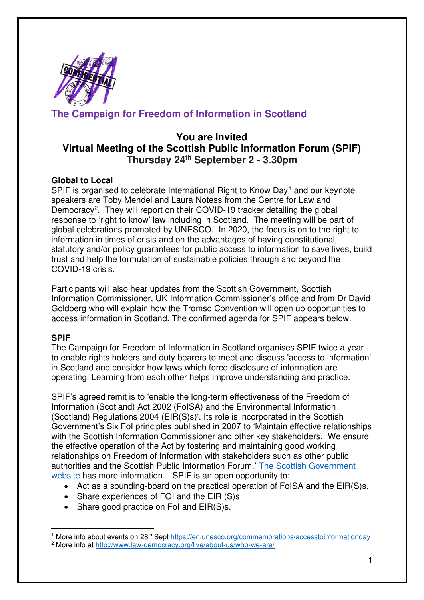

# **The Campaign for Freedom of Information in Scotland**

## **You are Invited Virtual Meeting of the Scottish Public Information Forum (SPIF) Thursday 24th September 2 - 3.30pm**

### **Global to Local**

SPIF is organised to celebrate International Right to Know Day<sup>1</sup> and our keynote speakers are Toby Mendel and Laura Notess from the Centre for Law and Democracy<sup>2</sup>. They will report on their COVID-19 tracker detailing the global response to 'right to know' law including in Scotland. The meeting will be part of global celebrations promoted by UNESCO. In 2020, the focus is on to the right to information in times of crisis and on the advantages of having constitutional, statutory and/or policy guarantees for public access to information to save lives, build trust and help the formulation of sustainable policies through and beyond the COVID-19 crisis.

Participants will also hear updates from the Scottish Government, Scottish Information Commissioner, UK Information Commissioner's office and from Dr David Goldberg who will explain how the Tromso Convention will open up opportunities to access information in Scotland. The confirmed agenda for SPIF appears below.

#### **SPIF**

The Campaign for Freedom of Information in Scotland organises SPIF twice a year to enable rights holders and duty bearers to meet and discuss 'access to information' in Scotland and consider how laws which force disclosure of information are operating. Learning from each other helps improve understanding and practice.

SPIF's agreed remit is to 'enable the long-term effectiveness of the Freedom of Information (Scotland) Act 2002 (FoISA) and the Environmental Information (Scotland) Regulations 2004 (EIR(S)s)'. Its role is incorporated in the Scottish Government's Six FoI principles published in 2007 to 'Maintain effective relationships with the Scottish Information Commissioner and other key stakeholders. We ensure the effective operation of the Act by fostering and maintaining good working relationships on Freedom of Information with stakeholders such as other public authorities and the Scottish Public Information Forum.' [The Scottish Government](http://www.gov.scot/About/Information/FOI/6principles)  [website](http://www.gov.scot/About/Information/FOI/6principles) has more information. SPIF is an open opportunity to:

- Act as a sounding-board on the practical operation of FoISA and the EIR(S)s.
- Share experiences of FOI and the EIR (S)s
- Share good practice on FoI and EIR(S)s.

<sup>&</sup>lt;sup>1</sup> More info about events on 28<sup>th</sup> Sept<https://en.unesco.org/commemorations/accesstoinformationday> <sup>2</sup> More info at http://www.law-democracy.org/live/about-us/who-we-are/